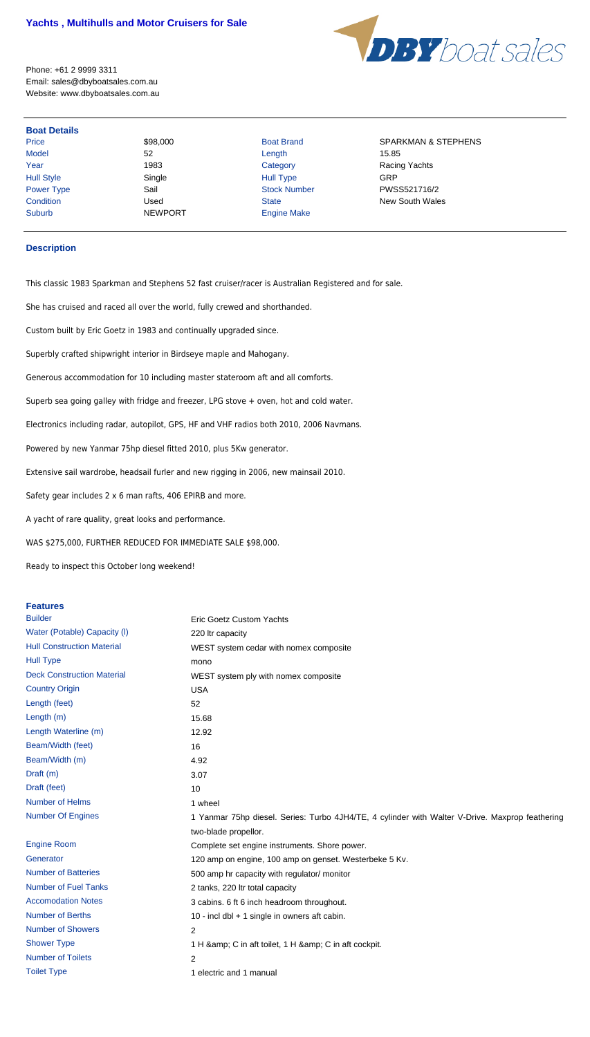## **Yachts , Multihulls and Motor Cruisers for Sale**



Price \$98,000 Boat Brand SPARKMAN & STEPHENS Power Type **Sail** Sail Stock Number **PWSS521716/2 Condition** Used Used State State New South Wales

Phone: +61 2 9999 3311 Email: sales@dbyboatsales.com.au Website: www.dbyboatsales.com.au

Model 52 Length 15.85 Year 1983 1983 Category Category Racing Yachts Hull Style Single Hull Type GRP Suburb NEWPORT Engine Make

## **Boat Details**

## **Description**

This classic 1983 Sparkman and Stephens 52 fast cruiser/racer is Australian Registered and for sale.

She has cruised and raced all over the world, fully crewed and shorthanded.

Custom built by Eric Goetz in 1983 and continually upgraded since.

Superbly crafted shipwright interior in Birdseye maple and Mahogany.

Generous accommodation for 10 including master stateroom aft and all comforts.

Superb sea going galley with fridge and freezer, LPG stove + oven, hot and cold water.

Electronics including radar, autopilot, GPS, HF and VHF radios both 2010, 2006 Navmans.

Powered by new Yanmar 75hp diesel fitted 2010, plus 5Kw generator.

Extensive sail wardrobe, headsail furler and new rigging in 2006, new mainsail 2010.

Safety gear includes 2 x 6 man rafts, 406 EPIRB and more.

A yacht of rare quality, great looks and performance.

WAS \$275,000, FURTHER REDUCED FOR IMMEDIATE SALE \$98,000.

Ready to inspect this October long weekend!

## **Features**

| <b>Builder</b>                    | <b>Eric Goetz Custom Yachts</b>                                                                 |
|-----------------------------------|-------------------------------------------------------------------------------------------------|
| Water (Potable) Capacity (I)      | 220 Itr capacity                                                                                |
| <b>Hull Construction Material</b> | WEST system cedar with nomex composite                                                          |
| <b>Hull Type</b>                  | mono                                                                                            |
| <b>Deck Construction Material</b> | WEST system ply with nomex composite                                                            |
| <b>Country Origin</b>             | <b>USA</b>                                                                                      |
| Length (feet)                     | 52                                                                                              |
| Length (m)                        | 15.68                                                                                           |
| Length Waterline (m)              | 12.92                                                                                           |
| Beam/Width (feet)                 | 16                                                                                              |
| Beam/Width (m)                    | 4.92                                                                                            |
| Draft (m)                         | 3.07                                                                                            |
| Draft (feet)                      | 10                                                                                              |
| Number of Helms                   | 1 wheel                                                                                         |
| <b>Number Of Engines</b>          | 1 Yanmar 75hp diesel. Series: Turbo 4JH4/TE, 4 cylinder with Walter V-Drive. Maxprop feathering |
|                                   | two-blade propellor.                                                                            |
| <b>Engine Room</b>                | Complete set engine instruments. Shore power.                                                   |
| Generator                         | 120 amp on engine, 100 amp on genset. Westerbeke 5 Kv.                                          |
| <b>Number of Batteries</b>        | 500 amp hr capacity with regulator/ monitor                                                     |
| <b>Number of Fuel Tanks</b>       | 2 tanks, 220 ltr total capacity                                                                 |
| <b>Accomodation Notes</b>         | 3 cabins. 6 ft 6 inch headroom throughout.                                                      |
| <b>Number of Berths</b>           | 10 - incl dbl + 1 single in owners aft cabin.                                                   |
| <b>Number of Showers</b>          | $\overline{2}$                                                                                  |
| <b>Shower Type</b>                | 1 H & C in aft toilet, 1 H & C in aft cockpit.                                                  |
| <b>Number of Toilets</b>          | $\overline{2}$                                                                                  |
| <b>Toilet Type</b>                | 1 electric and 1 manual                                                                         |